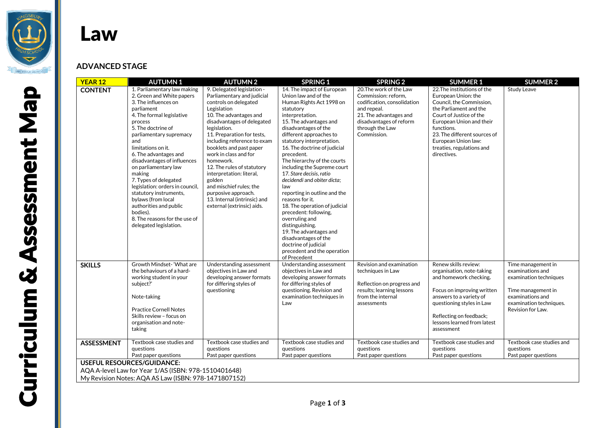

## Law

## **ADVANCED STAGE**

| <b>YEAR 12</b>                                       | <b>AUTUMN1</b>                                                                                                                                                                                                                                                                                                                                                                                                                                                                                                              | <b>AUTUMN2</b>                                                                                                                                                                                                                                                                                                                                                                                                                                                                             | <b>SPRING 1</b>                                                                                                                                                                                                                                                                                                                                                                                                                                                                                                                                                                                                                                                                   | <b>SPRING 2</b>                                                                                                                                                                     | <b>SUMMER 1</b>                                                                                                                                                                                                                                                                  | <b>SUMMER 2</b>                                                                                                                                            |  |  |
|------------------------------------------------------|-----------------------------------------------------------------------------------------------------------------------------------------------------------------------------------------------------------------------------------------------------------------------------------------------------------------------------------------------------------------------------------------------------------------------------------------------------------------------------------------------------------------------------|--------------------------------------------------------------------------------------------------------------------------------------------------------------------------------------------------------------------------------------------------------------------------------------------------------------------------------------------------------------------------------------------------------------------------------------------------------------------------------------------|-----------------------------------------------------------------------------------------------------------------------------------------------------------------------------------------------------------------------------------------------------------------------------------------------------------------------------------------------------------------------------------------------------------------------------------------------------------------------------------------------------------------------------------------------------------------------------------------------------------------------------------------------------------------------------------|-------------------------------------------------------------------------------------------------------------------------------------------------------------------------------------|----------------------------------------------------------------------------------------------------------------------------------------------------------------------------------------------------------------------------------------------------------------------------------|------------------------------------------------------------------------------------------------------------------------------------------------------------|--|--|
| <b>CONTENT</b>                                       | 1. Parliamentary law making<br>2. Green and White papers<br>3. The influences on<br>parliament<br>4. The formal legislative<br>process<br>5. The doctrine of<br>parliamentary supremacy<br>and<br>limitations on it.<br>6. The advantages and<br>disadvantages of influences<br>on parliamentary law<br>making<br>7. Types of delegated<br>legislation: orders in council,<br>statutory instruments,<br>bylaws (from local<br>authorities and public<br>bodies).<br>8. The reasons for the use of<br>delegated legislation. | 9. Delegated legislation -<br>Parliamentary and judicial<br>controls on delegated<br>Legislation<br>10. The advantages and<br>disadvantages of delegated<br>legislation.<br>11. Preparation for tests,<br>including reference to exam<br>booklets and past paper<br>work in class and for<br>homework.<br>12. The rules of statutory<br>interpretation: literal,<br>golden<br>and mischief rules; the<br>purposive approach.<br>13. Internal (intrinsic) and<br>external (extrinsic) aids. | 14. The impact of European<br>Union law and of the<br>Human Rights Act 1998 on<br>statutory<br>interpretation.<br>15. The advantages and<br>disadvantages of the<br>different approaches to<br>statutory interpretation.<br>16. The doctrine of judicial<br>precedent.<br>The hierarchy of the courts<br>including the Supreme court<br>17. Stare decisis, ratio<br>decidendi and obiter dicta;<br>law<br>reporting in outline and the<br>reasons for it.<br>18. The operation of judicial<br>precedent: following,<br>overruling and<br>distinguishing.<br>19. The advantages and<br>disadvantages of the<br>doctrine of judicial<br>precedent and the operation<br>of Precedent | 20. The work of the Law<br>Commission: reform.<br>codification, consolidation<br>and repeal.<br>21. The advantages and<br>disadvantages of reform<br>through the Law<br>Commission. | 22. The institutions of the<br>European Union: the<br>Council, the Commission,<br>the Parliament and the<br>Court of Justice of the<br>European Union and their<br>functions.<br>23. The different sources of<br>European Union law:<br>treaties, regulations and<br>directives. | Study Leave                                                                                                                                                |  |  |
| <b>SKILLS</b>                                        | Growth Mindset-'What are<br>the behaviours of a hard-<br>working student in your<br>subject?'<br>Note-taking<br><b>Practice Cornell Notes</b><br>Skills review - focus on<br>organisation and note-<br>taking                                                                                                                                                                                                                                                                                                               | Understanding assessment<br>objectives in Law and<br>developing answer formats<br>for differing styles of<br>questioning                                                                                                                                                                                                                                                                                                                                                                   | Understanding assessment<br>objectives in Law and<br>developing answer formats<br>for differing styles of<br>questioning. Revision and<br>examination techniques in<br>Law                                                                                                                                                                                                                                                                                                                                                                                                                                                                                                        | Revision and examination<br>techniques in Law<br>Reflection on progress and<br>results; learning lessons<br>from the internal<br>assessments                                        | Renew skills review:<br>organisation, note-taking<br>and homework checking.<br>Focus on improving written<br>answers to a variety of<br>questioning styles in Law<br>Reflecting on feedback;<br>lessons learned from latest<br>assessment                                        | Time management in<br>examinations and<br>examination techniques<br>Time management in<br>examinations and<br>examination techniques.<br>Revision for Law. |  |  |
| <b>ASSESSMENT</b>                                    | Textbook case studies and<br>questions<br>Past paper questions                                                                                                                                                                                                                                                                                                                                                                                                                                                              | Textbook case studies and<br>questions<br>Past paper questions                                                                                                                                                                                                                                                                                                                                                                                                                             | Textbook case studies and<br>questions<br>Past paper questions                                                                                                                                                                                                                                                                                                                                                                                                                                                                                                                                                                                                                    | Textbook case studies and<br>questions<br>Past paper questions                                                                                                                      | Textbook case studies and<br>questions<br>Past paper questions                                                                                                                                                                                                                   | Textbook case studies and<br>questions<br>Past paper questions                                                                                             |  |  |
| <b>USEFUL RESOURCES/GUIDANCE:</b>                    |                                                                                                                                                                                                                                                                                                                                                                                                                                                                                                                             |                                                                                                                                                                                                                                                                                                                                                                                                                                                                                            |                                                                                                                                                                                                                                                                                                                                                                                                                                                                                                                                                                                                                                                                                   |                                                                                                                                                                                     |                                                                                                                                                                                                                                                                                  |                                                                                                                                                            |  |  |
|                                                      | AQA A-level Law for Year 1/AS (ISBN: 978-1510401648)                                                                                                                                                                                                                                                                                                                                                                                                                                                                        |                                                                                                                                                                                                                                                                                                                                                                                                                                                                                            |                                                                                                                                                                                                                                                                                                                                                                                                                                                                                                                                                                                                                                                                                   |                                                                                                                                                                                     |                                                                                                                                                                                                                                                                                  |                                                                                                                                                            |  |  |
| My Revision Notes: AQA AS Law (ISBN: 978-1471807152) |                                                                                                                                                                                                                                                                                                                                                                                                                                                                                                                             |                                                                                                                                                                                                                                                                                                                                                                                                                                                                                            |                                                                                                                                                                                                                                                                                                                                                                                                                                                                                                                                                                                                                                                                                   |                                                                                                                                                                                     |                                                                                                                                                                                                                                                                                  |                                                                                                                                                            |  |  |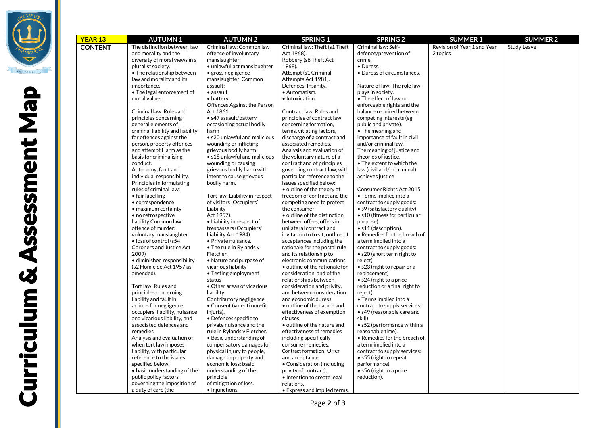

| YEAR 13        | <b>AUTUMN1</b>                             | <b>AUTUMN2</b>                 | <b>SPRING 1</b>                                           | <b>SPRING 2</b>                                          | <b>SUMMER 1</b>             | <b>SUMMER 2</b>    |
|----------------|--------------------------------------------|--------------------------------|-----------------------------------------------------------|----------------------------------------------------------|-----------------------------|--------------------|
| <b>CONTENT</b> | The distinction between law                | Criminal law: Common law       | Criminal law: Theft (s1 Theft                             | Criminal law: Self-                                      | Revision of Year 1 and Year | <b>Study Leave</b> |
|                | and morality and the                       | offence of involuntary         | Act 1968).                                                | defence/prevention of                                    | 2 topics                    |                    |
|                | diversity of moral views in a              | manslaughter:                  | Robbery (s8 Theft Act                                     | crime.                                                   |                             |                    |
|                | pluralist society.                         | • unlawful act manslaughter    | 1968).                                                    | • Duress.                                                |                             |                    |
|                | • The relationship between                 | • gross negligence             | Attempt (s1 Criminal                                      | • Duress of circumstances.                               |                             |                    |
|                | law and morality and its                   | manslaughter. Common           | Attempts Act 1981).                                       |                                                          |                             |                    |
|                | importance.                                | assault:                       | Defences: Insanity.                                       | Nature of law: The role law                              |                             |                    |
|                | • The legal enforcement of                 | $\bullet$ assault              | • Automatism.                                             | plays in society.                                        |                             |                    |
|                | moral values.                              | • battery.                     | • Intoxication.                                           | • The effect of law on                                   |                             |                    |
|                |                                            | Offences Against the Person    |                                                           | enforceable rights and the                               |                             |                    |
|                | Criminal law: Rules and                    | Act 1861:                      | Contract law: Rules and                                   | balance required between                                 |                             |                    |
|                | principles concerning                      | · s47 assault/battery          | principles of contract law                                | competing interests (eg                                  |                             |                    |
|                | general elements of                        | occasioning actual bodily      | concerning formation,                                     | public and private).                                     |                             |                    |
|                | criminal liability and liability           | harm                           | terms, vitiating factors,                                 | • The meaning and                                        |                             |                    |
|                | for offences against the                   | • s20 unlawful and malicious   | discharge of a contract and                               | importance of fault in civil                             |                             |                    |
|                | person, property offences                  | wounding or inflicting         | associated remedies.                                      | and/or criminal law.                                     |                             |                    |
|                | and attempt. Harm as the                   | grievous bodily harm           | Analysis and evaluation of                                | The meaning of justice and                               |                             |                    |
|                | basis for criminalising                    | • s18 unlawful and malicious   | the voluntary nature of a                                 | theories of justice.                                     |                             |                    |
|                | conduct.                                   | wounding or causing            | contract and of principles                                | • The extent to which the                                |                             |                    |
|                | Autonomy, fault and                        | grievous bodily harm with      | governing contract law, with                              | law (civil and/or criminal)                              |                             |                    |
|                | individual responsibility.                 | intent to cause grievous       | particular reference to the                               | achieves justice                                         |                             |                    |
|                | Principles in formulating                  | bodily harm.                   | issues specified below:                                   |                                                          |                             |                    |
|                | rules of criminal law:<br>• fair labelling | Tort law: Liability in respect | • outline of the theory of<br>freedom of contract and the | Consumer Rights Act 2015<br>• Terms implied into a       |                             |                    |
|                | • correspondence                           | of visitors (Occupiers'        | competing need to protect                                 |                                                          |                             |                    |
|                | • maximum certainty                        | Liability                      | the consumer                                              | contract to supply goods:<br>• s9 (satisfactory quality) |                             |                    |
|                | • no retrospective                         | Act 1957).                     | • outline of the distinction                              | • s10 (fitness for particular                            |                             |                    |
|                | liability.Common law                       | • Liability in respect of      | between offers, offers in                                 | purpose)                                                 |                             |                    |
|                | offence of murder:                         | trespassers (Occupiers'        | unilateral contract and                                   | • s11 (description).                                     |                             |                    |
|                | voluntary manslaughter:                    | Liability Act 1984).           | invitation to treat; outline of                           | • Remedies for the breach of                             |                             |                    |
|                | · loss of control (s54                     | · Private nuisance.            | acceptances including the                                 | a term implied into a                                    |                             |                    |
|                | <b>Coroners and Justice Act</b>            | • The rule in Rylands v        | rationale for the postal rule                             | contract to supply goods:                                |                             |                    |
|                | 2009)                                      | Fletcher.                      | and its relationship to                                   | • s20 (short term right to                               |                             |                    |
|                | · diminished responsibility                | • Nature and purpose of        | electronic communications                                 | reject)                                                  |                             |                    |
|                | (s2 Homicide Act 1957 as                   | vicarious liability            | • outline of the rationale for                            | • s23 (right to repair or a                              |                             |                    |
|                | amended).                                  | • Testing employment           | consideration, and of the                                 | replacement)                                             |                             |                    |
|                |                                            | status                         | relationships between                                     | $\bullet$ s24 (right to a price                          |                             |                    |
|                | Tort law: Rules and                        | • Other areas of vicarious     | consideration and privity,                                | reduction or a final right to                            |                             |                    |
|                | principles concerning                      | liability                      | and between consideration                                 | reject).                                                 |                             |                    |
|                | liability and fault in                     | Contributory negligence.       | and economic duress                                       | • Terms implied into a                                   |                             |                    |
|                | actions for negligence,                    | • Consent (volenti non-fit     | • outline of the nature and                               | contract to supply services:                             |                             |                    |
|                | occupiers' liability, nuisance             | injuria).                      | effectiveness of exemption                                | • s49 (reasonable care and                               |                             |                    |
|                | and vicarious liability, and               | • Defences specific to         | clauses                                                   | skill)                                                   |                             |                    |
|                | associated defences and                    | private nuisance and the       | • outline of the nature and                               | • s52 (performance within a                              |                             |                    |
|                | remedies.                                  | rule in Rylands v Fletcher.    | effectiveness of remedies                                 | reasonable time).                                        |                             |                    |
|                | Analysis and evaluation of                 | • Basic understanding of       | including specifically                                    | • Remedies for the breach of                             |                             |                    |
|                | when tort law imposes                      | compensatory damages for       | consumer remedies.                                        | a term implied into a                                    |                             |                    |
|                | liability, with particular                 | physical injury to people,     | Contract formation: Offer                                 | contract to supply services:                             |                             |                    |
|                | reference to the issues                    | damage to property and         | and acceptance.                                           | • s55 (right to repeat                                   |                             |                    |
|                | specified below:                           | economic loss; basic           | • Consideration (including                                | performance)                                             |                             |                    |
|                | · basic understanding of the               | understanding of the           | privity of contract).                                     | • s56 (right to a price                                  |                             |                    |
|                | public policy factors                      | principle                      | • Intention to create legal                               | reduction).                                              |                             |                    |
|                | governing the imposition of                | of mitigation of loss.         | relations.                                                |                                                          |                             |                    |
|                | a duty of care (the                        | • Injunctions.                 | • Express and implied terms.                              |                                                          |                             |                    |